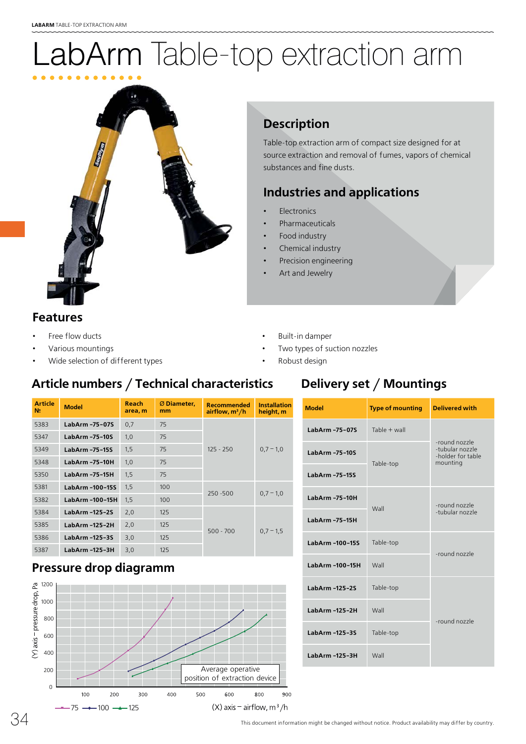# abArm Table-top extraction arm



#### **Description De**

Table-top extraction arm of compact size designed for at Tab source extraction and removal of fumes, vapors of chemical sou substances and fine dusts. sub

## **Industries and applications In**

- **Electronics** •
- **Pharmaceuticals** •
- Food industry •
- Chemical industry •
- Precision engineering •
- Art and Jewelry •

#### **Features**

- Free flow ducts
- Various mountings
- Wide selection of different types

#### **Article numbers / Technical characteristics**

#### **Article № Model Reach area, m** Ø **Diameter, mm Recommended airflow, m3/h Installation height, m** 5383 **LabArm -75-07S** 0,7 75  $125 - 250$  0,7 – 1,0 5347 **LabArm -75-10S** 1,0 75 5349 **LabArm -75-15S** 1,5 75 5348 **LabArm -75-10H** 1,0 75 5350 **LabArm -75-15H** 1,5 75 5381 **LabArm -100-15S** 1,5 100  $250 - 500$  0,7 – 1,0 5382 **LabArm -100-15H** 1,5 100 5384 **LabArm -125-2S** 2,0 125  $500 - 700$  0,7 – 1,5 5385 **LabArm -125-2H** 2,0 125 5386 **LabArm -125-3S** 3,0 125 5387 **LabArm -125-3H** 3,0 125

#### **Pressure drop diagramm**



#### • Built-in damper

- Two types of suction nozzles
- Robust design

#### **Delivery set / Mountings**

| <b>Model</b>         | <b>Type of mounting</b> | <b>Delivered with</b>                                             |
|----------------------|-------------------------|-------------------------------------------------------------------|
| LabArm -75-07S       | Table + wall            |                                                                   |
| LabArm -75-10S       | Table-top               | -round nozzle<br>-tubular nozzle<br>-holder for table<br>mounting |
| LabArm -75-15S       |                         |                                                                   |
| LabArm -75-10H       | Wall                    | -round nozzle<br>-tubular nozzle                                  |
| LabArm -75-15H       |                         |                                                                   |
| LabArm-100-15S       | Table-top               | -round nozzle                                                     |
| LabArm -100-15H      | Wall                    |                                                                   |
| LabArm-125-2S        | Table-top               | -round nozzle                                                     |
| <b>LabArm-125-2H</b> | Wall                    |                                                                   |
| LabArm -125-3S       | Table-top               |                                                                   |
| LabArm -125-3H       | Wall                    |                                                                   |